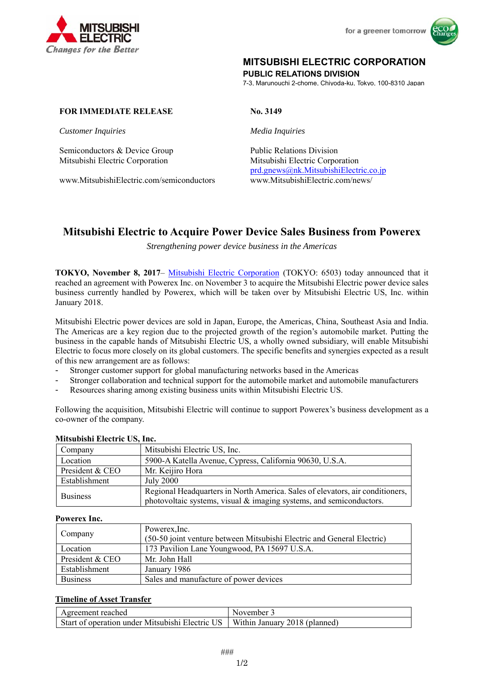



# **MITSUBISHI ELECTRIC CORPORATION**

**PUBLIC RELATIONS DIVISION** 

7-3, Marunouchi 2-chome, Chiyoda-ku, Tokyo, 100-8310 Japan

# **FOR IMMEDIATE RELEASE No. 3149**

*Customer Inquiries Media Inquiries*

Semiconductors & Device Group Public Relations Division Mitsubishi Electric Corporation Mitsubishi Electric Corporation

www.MitsubishiElectric.com/semiconductors www.MitsubishiElectric.com/news/

prd.gnews@nk.MitsubishiElectric.co.jp

# **Mitsubishi Electric to Acquire Power Device Sales Business from Powerex**

*Strengthening power device business in the Americas* 

**TOKYO, November 8, 2017**– Mitsubishi Electric Corporation (TOKYO: 6503) today announced that it reached an agreement with Powerex Inc. on November 3 to acquire the Mitsubishi Electric power device sales business currently handled by Powerex, which will be taken over by Mitsubishi Electric US, Inc. within January 2018.

Mitsubishi Electric power devices are sold in Japan, Europe, the Americas, China, Southeast Asia and India. The Americas are a key region due to the projected growth of the region's automobile market. Putting the business in the capable hands of Mitsubishi Electric US, a wholly owned subsidiary, will enable Mitsubishi Electric to focus more closely on its global customers. The specific benefits and synergies expected as a result of this new arrangement are as follows:

- Stronger customer support for global manufacturing networks based in the Americas
- Stronger collaboration and technical support for the automobile market and automobile manufacturers
- Resources sharing among existing business units within Mitsubishi Electric US.

Following the acquisition, Mitsubishi Electric will continue to support Powerex's business development as a co-owner of the company.

| Company         | Mitsubishi Electric US, Inc.                                                  |  |
|-----------------|-------------------------------------------------------------------------------|--|
| Location        | 5900-A Katella Avenue, Cypress, California 90630, U.S.A.                      |  |
| President & CEO | Mr. Keijiro Hora                                                              |  |
| Establishment   | July 2000                                                                     |  |
| <b>Business</b> | Regional Headquarters in North America. Sales of elevators, air conditioners, |  |
|                 | photovoltaic systems, visual & imaging systems, and semiconductors.           |  |

### **Mitsubishi Electric US, Inc.**

### **Powerex Inc.**

| Company         | Powerex, Inc.<br>(50-50 joint venture between Mitsubishi Electric and General Electric) |  |
|-----------------|-----------------------------------------------------------------------------------------|--|
| Location        | 173 Pavilion Lane Youngwood, PA 15697 U.S.A.                                            |  |
| President & CEO | Mr. John Hall                                                                           |  |
| Establishment   | January 1986                                                                            |  |
| <b>Business</b> | Sales and manufacture of power devices                                                  |  |

## **Timeline of Asset Transfer**

| Agreement reached                                                               | November |
|---------------------------------------------------------------------------------|----------|
| Start of operation under Mitsubishi Electric US   Within January 2018 (planned) |          |